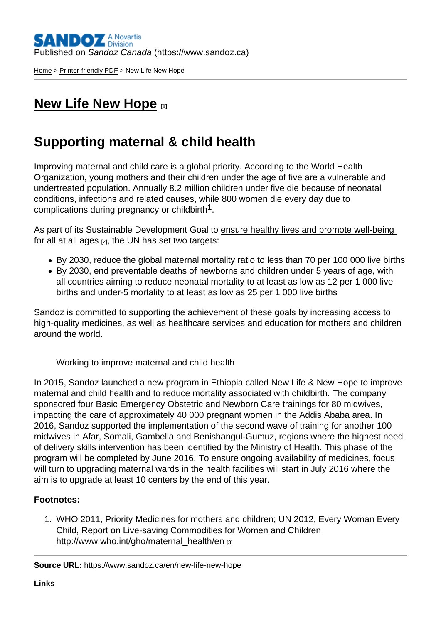[Home](https://www.sandoz.ca/en) > [Printer-friendly PDF](https://www.sandoz.ca/en/printpdf) > New Life New Hope

## [New Life New Hope](https://www.sandoz.ca/en/new-life-new-hope) [1]

## Supporting maternal & child health

Improving maternal and child care is a global priority. According to the World Health Organization, young mothers and their children under the age of five are a vulnerable and undertreated population. Annually 8.2 million children under five die because of neonatal conditions, infections and related causes, while 800 women die every day due to complications during pregnancy or childbirth<sup>1</sup>.

As part of its Sustainable Development Goal to [ensure healthy lives and promote well-being](https://sustainabledevelopment.un.org/?menu=1300)  [for all at all ages](https://sustainabledevelopment.un.org/?menu=1300)  $[2]$ , the UN has set two targets:

- By 2030, reduce the global maternal mortality ratio to less than 70 per 100 000 live births
- By 2030, end preventable deaths of newborns and children under 5 years of age, with all countries aiming to reduce neonatal mortality to at least as low as 12 per 1 000 live births and under-5 mortality to at least as low as 25 per 1 000 live births

Sandoz is committed to supporting the achievement of these goals by increasing access to high-quality medicines, as well as healthcare services and education for mothers and children around the world.

Working to improve maternal and child health

In 2015, Sandoz launched a new program in Ethiopia called New Life & New Hope to improve maternal and child health and to reduce mortality associated with childbirth. The company sponsored four Basic Emergency Obstetric and Newborn Care trainings for 80 midwives, impacting the care of approximately 40 000 pregnant women in the Addis Ababa area. In 2016, Sandoz supported the implementation of the second wave of training for another 100 midwives in Afar, Somali, Gambella and Benishangul-Gumuz, regions where the highest need of delivery skills intervention has been identified by the Ministry of Health. This phase of the program will be completed by June 2016. To ensure ongoing availability of medicines, focus will turn to upgrading maternal wards in the health facilities will start in July 2016 where the aim is to upgrade at least 10 centers by the end of this year.

Footnotes :

1. WHO 2011, Priority Medicines for mothers and children; UN 2012, Every Woman Every Child, Report on Live-saving Commodities for Women and Children [http://www.who.int/gho/maternal\\_health/en](http://www.who.int/gho/maternal_health/en) [3]

Source URL: https://www.sandoz.ca/en/new-life-new-hope